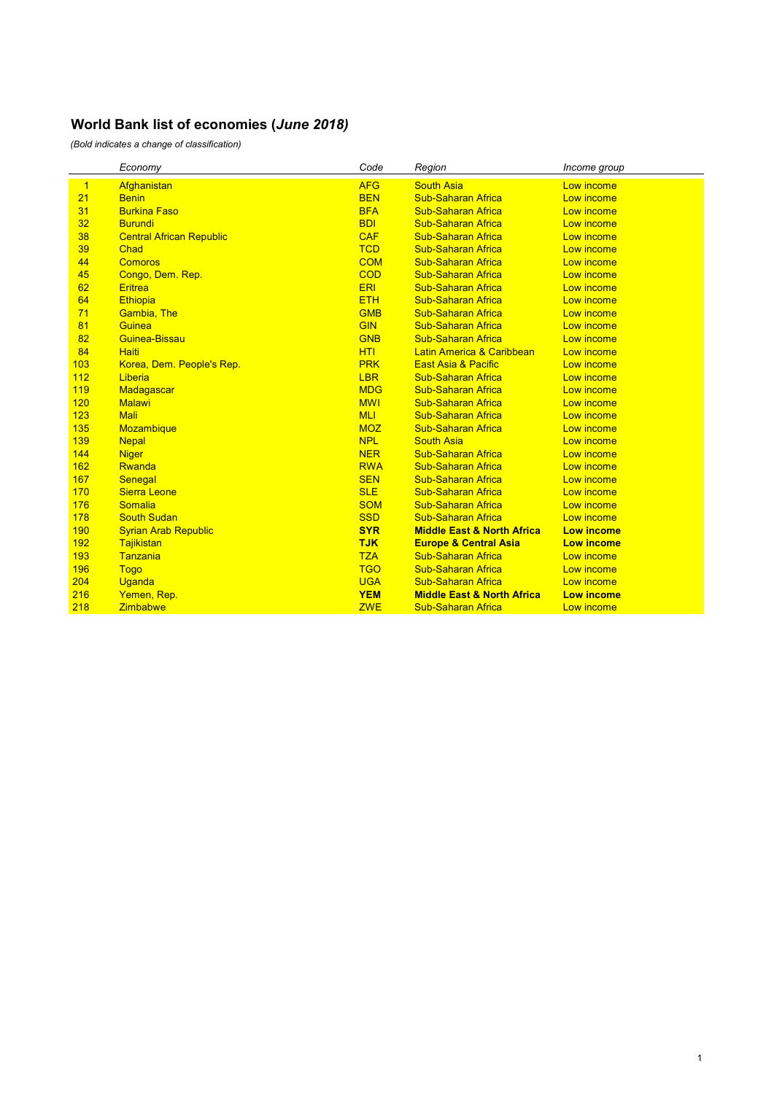|              | Economy                         | Code       | Region                                | Income group      |
|--------------|---------------------------------|------------|---------------------------------------|-------------------|
| $\mathbf{1}$ | Afghanistan                     | <b>AFG</b> | <b>South Asia</b>                     | Low income        |
| 21           | <b>Benin</b>                    | <b>BEN</b> | <b>Sub-Saharan Africa</b>             | Low income        |
| 31           | <b>Burkina Faso</b>             | <b>BFA</b> | <b>Sub-Saharan Africa</b>             | Low income        |
| 32           | <b>Burundi</b>                  | <b>BDI</b> | <b>Sub-Saharan Africa</b>             | Low income        |
| 38           | <b>Central African Republic</b> | <b>CAF</b> | <b>Sub-Saharan Africa</b>             | Low income        |
| 39           | Chad                            | <b>TCD</b> | <b>Sub-Saharan Africa</b>             | Low income        |
| 44           | Comoros                         | <b>COM</b> | <b>Sub-Saharan Africa</b>             | Low income        |
| 45           | Congo, Dem. Rep.                | <b>COD</b> | <b>Sub-Saharan Africa</b>             | Low income        |
| 62           | <b>Eritrea</b>                  | <b>ERI</b> | <b>Sub-Saharan Africa</b>             | Low income        |
| 64           | Ethiopia                        | <b>ETH</b> | <b>Sub-Saharan Africa</b>             | Low income        |
| 71           | <b>Gambia, The</b>              | <b>GMB</b> | <b>Sub-Saharan Africa</b>             | Low income        |
| 81           | Guinea                          | <b>GIN</b> | <b>Sub-Saharan Africa</b>             | Low income        |
| 82           | Guinea-Bissau                   | <b>GNB</b> | <b>Sub-Saharan Africa</b>             | Low income        |
| 84           | <b>Haiti</b>                    | <b>HTI</b> | Latin America & Caribbean             | Low income        |
| 103          | Korea, Dem. People's Rep.       | <b>PRK</b> | <b>East Asia &amp; Pacific</b>        | Low income        |
| 112          | Liberia                         | <b>LBR</b> | <b>Sub-Saharan Africa</b>             | Low income        |
| 119          | Madagascar                      | <b>MDG</b> | <b>Sub-Saharan Africa</b>             | Low income        |
| 120          | <b>Malawi</b>                   | <b>MWI</b> | <b>Sub-Saharan Africa</b>             | Low income        |
| 123          | <b>Mali</b>                     | <b>MLI</b> | <b>Sub-Saharan Africa</b>             | Low income        |
| 135          | <b>Mozambique</b>               | <b>MOZ</b> | <b>Sub-Saharan Africa</b>             | Low income        |
| 139          | <b>Nepal</b>                    | <b>NPL</b> | <b>South Asia</b>                     | Low income        |
| 144          | <b>Niger</b>                    | <b>NER</b> | <b>Sub-Saharan Africa</b>             | Low income        |
| 162          | Rwanda                          | <b>RWA</b> | <b>Sub-Saharan Africa</b>             | Low income        |
| 167          | Senegal                         | <b>SEN</b> | <b>Sub-Saharan Africa</b>             | Low income        |
| 170          | <b>Sierra Leone</b>             | <b>SLE</b> | <b>Sub-Saharan Africa</b>             | Low income        |
| 176          | Somalia                         | <b>SOM</b> | <b>Sub-Saharan Africa</b>             | Low income        |
| 178          | <b>South Sudan</b>              | <b>SSD</b> | <b>Sub-Saharan Africa</b>             | Low income        |
| 190          | <b>Syrian Arab Republic</b>     | <b>SYR</b> | <b>Middle East &amp; North Africa</b> | <b>Low income</b> |
| 192          | Tajikistan                      | <b>TJK</b> | <b>Europe &amp; Central Asia</b>      | <b>Low income</b> |
| 193          | Tanzania                        | <b>TZA</b> | <b>Sub-Saharan Africa</b>             | Low income        |
| 196          | <b>Togo</b>                     | <b>TGO</b> | <b>Sub-Saharan Africa</b>             | Low income        |
| 204          | Uganda                          | <b>UGA</b> | <b>Sub-Saharan Africa</b>             | Low income        |
| 216          | Yemen, Rep.                     | <b>YEM</b> | <b>Middle East &amp; North Africa</b> | <b>Low income</b> |
| 218          | <b>Zimbabwe</b>                 | <b>ZWE</b> | <b>Sub-Saharan Africa</b>             | Low income        |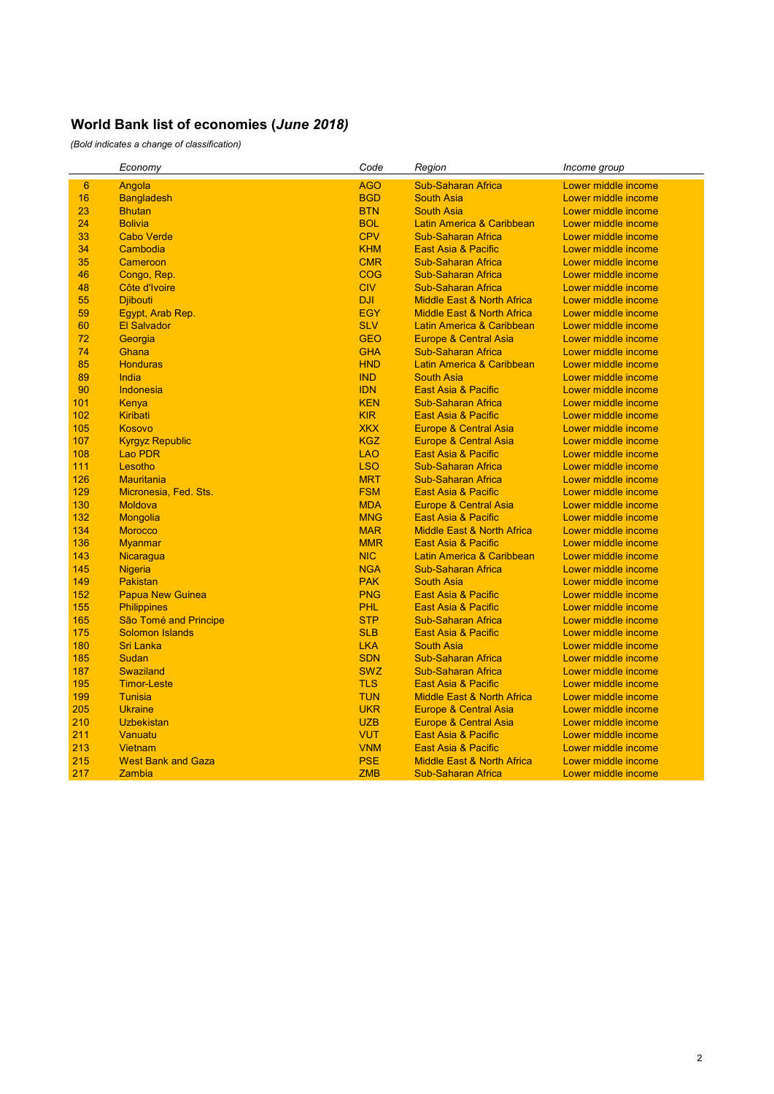|                 | Economy                   | Code       | Region                                | Income group        |
|-----------------|---------------------------|------------|---------------------------------------|---------------------|
| $6\phantom{1}6$ | Angola                    | <b>AGO</b> | <b>Sub-Saharan Africa</b>             | Lower middle income |
| 16              | <b>Bangladesh</b>         | <b>BGD</b> | <b>South Asia</b>                     | Lower middle income |
| 23              | <b>Bhutan</b>             | <b>BTN</b> | <b>South Asia</b>                     | Lower middle income |
| 24              | <b>Bolivia</b>            | <b>BOL</b> | Latin America & Caribbean             | Lower middle income |
| 33              | <b>Cabo Verde</b>         | <b>CPV</b> | <b>Sub-Saharan Africa</b>             | Lower middle income |
| 34              | Cambodia                  | <b>KHM</b> | <b>East Asia &amp; Pacific</b>        | Lower middle income |
| 35              | Cameroon                  | <b>CMR</b> | <b>Sub-Saharan Africa</b>             | Lower middle income |
| 46              | Congo, Rep.               | <b>COG</b> | <b>Sub-Saharan Africa</b>             | Lower middle income |
| 48              | Côte d'Ivoire             | <b>CIV</b> | <b>Sub-Saharan Africa</b>             | Lower middle income |
| 55              | <b>Djibouti</b>           | <b>DJI</b> | <b>Middle East &amp; North Africa</b> | Lower middle income |
| 59              | Egypt, Arab Rep.          | <b>EGY</b> | <b>Middle East &amp; North Africa</b> | Lower middle income |
| 60              | <b>El Salvador</b>        | <b>SLV</b> | Latin America & Caribbean             | Lower middle income |
| 72              | Georgia                   | <b>GEO</b> | Europe & Central Asia                 | Lower middle income |
| 74              | Ghana                     | <b>GHA</b> | <b>Sub-Saharan Africa</b>             | Lower middle income |
| 85              | <b>Honduras</b>           | <b>HND</b> | Latin America & Caribbean             | Lower middle income |
| 89              | India                     | <b>IND</b> | <b>South Asia</b>                     | Lower middle income |
| 90              | Indonesia                 | <b>IDN</b> | East Asia & Pacific                   | Lower middle income |
| 101             | Kenya                     | <b>KEN</b> | <b>Sub-Saharan Africa</b>             | Lower middle income |
| 102             | Kiribati                  | <b>KIR</b> | <b>East Asia &amp; Pacific</b>        | Lower middle income |
| 105             | <b>Kosovo</b>             | <b>XKX</b> | <b>Europe &amp; Central Asia</b>      | Lower middle income |
| 107             | <b>Kyrgyz Republic</b>    | <b>KGZ</b> | <b>Europe &amp; Central Asia</b>      | Lower middle income |
| 108             | <b>Lao PDR</b>            | <b>LAO</b> | <b>East Asia &amp; Pacific</b>        | Lower middle income |
| 111             | Lesotho                   | <b>LSO</b> | <b>Sub-Saharan Africa</b>             | Lower middle income |
| 126             | <b>Mauritania</b>         | <b>MRT</b> | <b>Sub-Saharan Africa</b>             | Lower middle income |
| 129             | Micronesia, Fed. Sts.     | <b>FSM</b> | East Asia & Pacific                   | Lower middle income |
| 130             | <b>Moldova</b>            | <b>MDA</b> | <b>Europe &amp; Central Asia</b>      | Lower middle income |
| 132             | Mongolia                  | <b>MNG</b> | <b>East Asia &amp; Pacific</b>        | Lower middle income |
| 134             | <b>Morocco</b>            | <b>MAR</b> | <b>Middle East &amp; North Africa</b> | Lower middle income |
| 136             | <b>Myanmar</b>            | <b>MMR</b> | <b>East Asia &amp; Pacific</b>        | Lower middle income |
| 143             | Nicaragua                 | <b>NIC</b> | Latin America & Caribbean             | Lower middle income |
| 145             | <b>Nigeria</b>            | <b>NGA</b> | <b>Sub-Saharan Africa</b>             | Lower middle income |
| 149             | <b>Pakistan</b>           | <b>PAK</b> | <b>South Asia</b>                     | Lower middle income |
| 152             | <b>Papua New Guinea</b>   | <b>PNG</b> | <b>East Asia &amp; Pacific</b>        | Lower middle income |
| 155             | <b>Philippines</b>        | <b>PHL</b> | East Asia & Pacific                   | Lower middle income |
| 165             | São Tomé and Principe     | <b>STP</b> | <b>Sub-Saharan Africa</b>             | Lower middle income |
| 175             | <b>Solomon Islands</b>    | <b>SLB</b> | <b>East Asia &amp; Pacific</b>        | Lower middle income |
| 180             | <b>Sri Lanka</b>          | <b>LKA</b> | <b>South Asia</b>                     | Lower middle income |
| 185             | <b>Sudan</b>              | <b>SDN</b> | <b>Sub-Saharan Africa</b>             | Lower middle income |
| 187             | <b>Swaziland</b>          | <b>SWZ</b> | <b>Sub-Saharan Africa</b>             | Lower middle income |
| 195             | <b>Timor-Leste</b>        | <b>TLS</b> | East Asia & Pacific                   | Lower middle income |
| 199             | <b>Tunisia</b>            | <b>TUN</b> | <b>Middle East &amp; North Africa</b> | Lower middle income |
| 205             | <b>Ukraine</b>            | <b>UKR</b> | <b>Europe &amp; Central Asia</b>      | Lower middle income |
| 210             | <b>Uzbekistan</b>         | <b>UZB</b> | Europe & Central Asia                 | Lower middle income |
| 211             | Vanuatu                   | <b>VUT</b> | <b>East Asia &amp; Pacific</b>        | Lower middle income |
| 213             | <b>Vietnam</b>            | <b>VNM</b> | <b>East Asia &amp; Pacific</b>        | Lower middle income |
| 215             | <b>West Bank and Gaza</b> | <b>PSE</b> | <b>Middle East &amp; North Africa</b> | Lower middle income |
| 217             | Zambia                    | <b>ZMB</b> | <b>Sub-Saharan Africa</b>             | Lower middle income |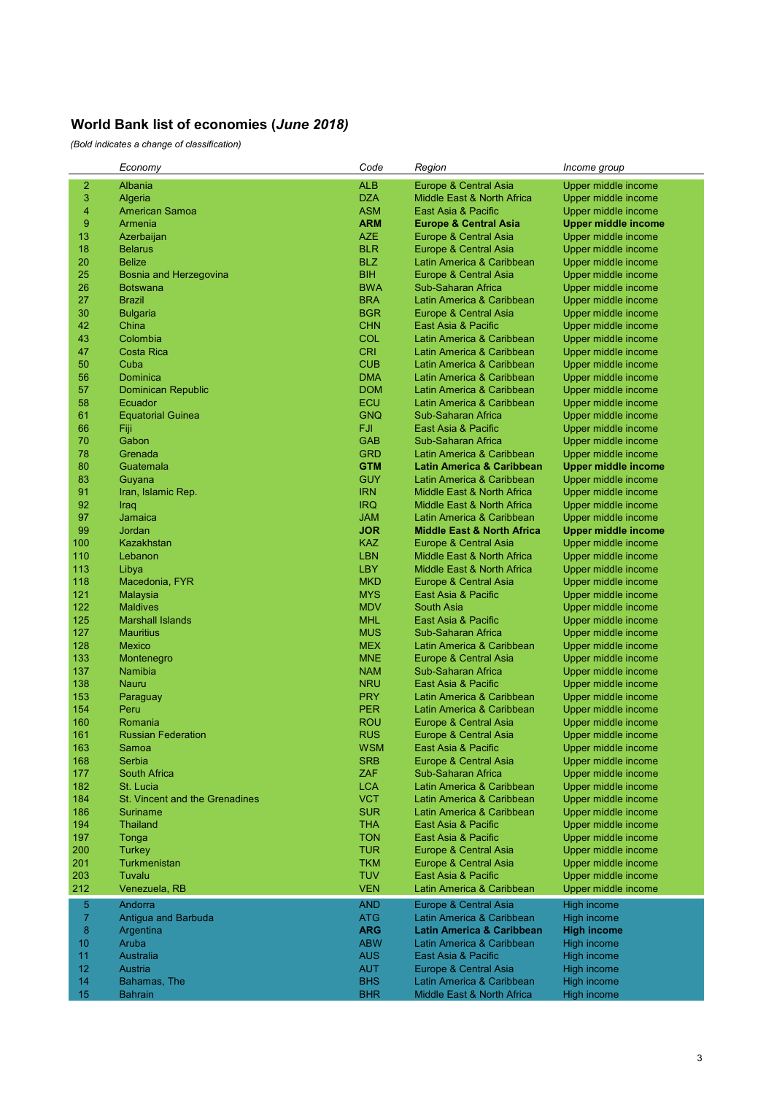|                | Economy                               | Code       | Region                                | Income group        |
|----------------|---------------------------------------|------------|---------------------------------------|---------------------|
| $\overline{c}$ | Albania                               | <b>ALB</b> | Europe & Central Asia                 | Upper middle income |
| 3              | Algeria                               | <b>DZA</b> | Middle East & North Africa            | Upper middle income |
| $\overline{4}$ | <b>American Samoa</b>                 | <b>ASM</b> | East Asia & Pacific                   | Upper middle income |
| 9              | Armenia                               | <b>ARM</b> | <b>Europe &amp; Central Asia</b>      | Upper middle income |
| 13             | Azerbaijan                            | <b>AZE</b> | Europe & Central Asia                 | Upper middle income |
| 18             | <b>Belarus</b>                        | <b>BLR</b> | Europe & Central Asia                 | Upper middle income |
| 20             | <b>Belize</b>                         | <b>BLZ</b> | Latin America & Caribbean             | Upper middle income |
| 25             | Bosnia and Herzegovina                | <b>BIH</b> | Europe & Central Asia                 | Upper middle income |
| 26             | <b>Botswana</b>                       | <b>BWA</b> | Sub-Saharan Africa                    | Upper middle income |
| 27             | <b>Brazil</b>                         | <b>BRA</b> | Latin America & Caribbean             | Upper middle income |
| 30             | <b>Bulgaria</b>                       | <b>BGR</b> | Europe & Central Asia                 | Upper middle income |
| 42             | China                                 | <b>CHN</b> | East Asia & Pacific                   | Upper middle income |
| 43             | Colombia                              | <b>COL</b> | Latin America & Caribbean             | Upper middle income |
| 47             | <b>Costa Rica</b>                     | <b>CRI</b> | Latin America & Caribbean             | Upper middle income |
| 50             | Cuba                                  | <b>CUB</b> | Latin America & Caribbean             | Upper middle income |
| 56             | Dominica                              | <b>DMA</b> | Latin America & Caribbean             | Upper middle income |
| 57             | <b>Dominican Republic</b>             | <b>DOM</b> | Latin America & Caribbean             | Upper middle income |
| 58             | Ecuador                               | <b>ECU</b> | Latin America & Caribbean             | Upper middle income |
| 61             | <b>Equatorial Guinea</b>              | <b>GNQ</b> | Sub-Saharan Africa                    | Upper middle income |
| 66             | Fiji                                  | FJI.       | East Asia & Pacific                   | Upper middle income |
| 70             | Gabon                                 | <b>GAB</b> | Sub-Saharan Africa                    | Upper middle income |
| 78             | Grenada                               | <b>GRD</b> | Latin America & Caribbean             | Upper middle income |
| 80             | Guatemala                             | <b>GTM</b> | <b>Latin America &amp; Caribbean</b>  | Upper middle income |
| 83             | Guyana                                | <b>GUY</b> | Latin America & Caribbean             | Upper middle income |
| 91             | Iran, Islamic Rep.                    | <b>IRN</b> | Middle East & North Africa            | Upper middle income |
| 92             | Iraq                                  | <b>IRQ</b> | Middle East & North Africa            | Upper middle income |
| 97             | Jamaica                               | <b>JAM</b> | Latin America & Caribbean             | Upper middle income |
| 99             | <b>Jordan</b>                         | <b>JOR</b> | <b>Middle East &amp; North Africa</b> | Upper middle income |
| 100            | Kazakhstan                            | <b>KAZ</b> | Europe & Central Asia                 | Upper middle income |
| 110            | Lebanon                               | <b>LBN</b> | Middle East & North Africa            | Upper middle income |
| 113            | Libya                                 | <b>LBY</b> | Middle East & North Africa            | Upper middle income |
| 118            | Macedonia, FYR                        | <b>MKD</b> | Europe & Central Asia                 | Upper middle income |
| 121            | Malaysia                              | <b>MYS</b> | East Asia & Pacific                   | Upper middle income |
| 122            | <b>Maldives</b>                       | <b>MDV</b> | South Asia                            | Upper middle income |
| 125            | <b>Marshall Islands</b>               | <b>MHL</b> | East Asia & Pacific                   | Upper middle income |
| 127            | Mauritius                             | <b>MUS</b> | Sub-Saharan Africa                    | Upper middle income |
| 128            | Mexico                                | <b>MEX</b> | Latin America & Caribbean             | Upper middle income |
| 133            | Montenegro                            | <b>MNE</b> | Europe & Central Asia                 | Upper middle income |
| 137            | Namibia                               | <b>NAM</b> | Sub-Saharan Africa                    | Upper middle income |
| 138            | Nauru                                 | <b>NRU</b> | East Asia & Pacific                   | Upper middle income |
| 153            | Paraguay                              | <b>PRY</b> | Latin America & Caribbean             | Upper middle income |
| 154            | Peru                                  | <b>PER</b> | Latin America & Caribbean             | Upper middle income |
| 160            | Romania                               | <b>ROU</b> | Europe & Central Asia                 | Upper middle income |
| 161            | <b>Russian Federation</b>             | <b>RUS</b> | Europe & Central Asia                 | Upper middle income |
| 163            | Samoa                                 | <b>WSM</b> | East Asia & Pacific                   | Upper middle income |
| 168            | Serbia                                | <b>SRB</b> | Europe & Central Asia                 | Upper middle income |
| 177            | <b>South Africa</b>                   | <b>ZAF</b> | Sub-Saharan Africa                    | Upper middle income |
| 182            | St. Lucia                             | <b>LCA</b> | Latin America & Caribbean             | Upper middle income |
| 184            | <b>St. Vincent and the Grenadines</b> | <b>VCT</b> | Latin America & Caribbean             | Upper middle income |
| 186            | <b>Suriname</b>                       | <b>SUR</b> | Latin America & Caribbean             | Upper middle income |
| 194            | <b>Thailand</b>                       | <b>THA</b> | East Asia & Pacific                   | Upper middle income |
| 197            | Tonga                                 | <b>TON</b> | East Asia & Pacific                   | Upper middle income |
| 200            | Turkey                                | <b>TUR</b> | Europe & Central Asia                 | Upper middle income |
| 201            | Turkmenistan                          | <b>TKM</b> | Europe & Central Asia                 | Upper middle income |
| 203            | Tuvalu                                | <b>TUV</b> | East Asia & Pacific                   | Upper middle income |
| 212            | Venezuela, RB                         | <b>VEN</b> | Latin America & Caribbean             | Upper middle income |
| 5              | Andorra                               | <b>AND</b> | <b>Europe &amp; Central Asia</b>      | High income         |
| $\overline{7}$ | Antigua and Barbuda                   | <b>ATG</b> | Latin America & Caribbean             | High income         |
| 8              | Argentina                             | <b>ARG</b> | <b>Latin America &amp; Caribbean</b>  | <b>High income</b>  |
| 10             | Aruba                                 | <b>ABW</b> | Latin America & Caribbean             | High income         |
| 11             | Australia                             | <b>AUS</b> | East Asia & Pacific                   | High income         |
| 12             | Austria                               | <b>AUT</b> | Europe & Central Asia                 | High income         |
| 14             | Bahamas, The                          | <b>BHS</b> | Latin America & Caribbean             | High income         |
| 15             | <b>Bahrain</b>                        | <b>BHR</b> | Middle East & North Africa            | High income         |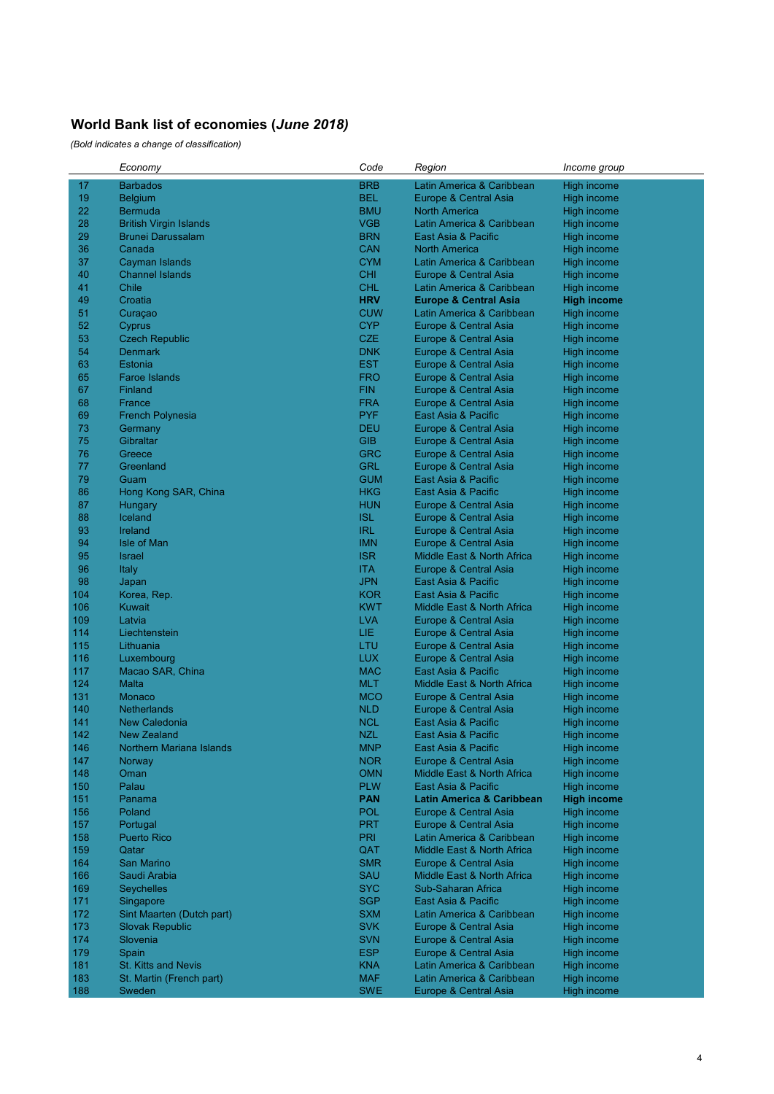| <b>BRB</b><br>17<br><b>Barbados</b><br>Latin America & Caribbean<br>High income<br>19<br><b>BEL</b><br><b>Belgium</b><br>Europe & Central Asia<br>High income<br>22<br><b>BMU</b><br><b>Bermuda</b><br><b>North America</b><br>High income<br>28<br><b>British Virgin Islands</b><br>VGB<br>Latin America & Caribbean<br>High income<br>29<br><b>BRN</b><br><b>Brunei Darussalam</b><br>East Asia & Pacific<br>High income<br>36<br><b>CAN</b><br>Canada<br><b>North America</b><br>High income<br>37<br><b>CYM</b><br><b>Cayman Islands</b><br>Latin America & Caribbean<br>High income<br>40<br><b>Channel Islands</b><br><b>CHI</b><br>Europe & Central Asia<br>High income<br><b>CHL</b><br>41<br>Chile<br>Latin America & Caribbean<br>High income<br>49<br><b>HRV</b><br>Croatia<br><b>Europe &amp; Central Asia</b><br><b>High income</b><br>51<br><b>CUW</b><br>Latin America & Caribbean<br>Curaçao<br>High income<br>52<br><b>CYP</b><br>Cyprus<br>Europe & Central Asia<br><b>High income</b><br>53<br><b>CZE</b><br><b>Czech Republic</b><br>High income<br>Europe & Central Asia<br>54<br><b>DNK</b><br><b>Denmark</b><br>High income<br>Europe & Central Asia<br>63<br>Estonia<br>EST<br>High income<br>Europe & Central Asia<br>65<br><b>FRO</b><br><b>Faroe Islands</b><br>High income<br>Europe & Central Asia<br>67<br><b>FIN</b><br>Finland<br>Europe & Central Asia<br>High income<br>68<br><b>FRA</b><br>High income<br>France<br>Europe & Central Asia<br>69<br><b>PYF</b><br>High income<br><b>French Polynesia</b><br>East Asia & Pacific<br>73<br><b>DEU</b><br>Europe & Central Asia<br>High income<br>Germany<br>75<br><b>GIB</b><br>Gibraltar<br>High income<br>Europe & Central Asia<br>76<br><b>GRC</b><br>High income<br>Greece<br>Europe & Central Asia<br>77<br><b>GRL</b><br>Greenland<br>High income<br>Europe & Central Asia<br>79<br><b>GUM</b><br>East Asia & Pacific<br>High income<br>Guam<br>86<br><b>HKG</b><br>Hong Kong SAR, China<br>East Asia & Pacific<br>High income<br>87<br><b>HUN</b><br>Hungary<br>High income<br>Europe & Central Asia<br>88<br><b>ISL</b><br>Iceland<br>High income<br>Europe & Central Asia<br>93<br><b>IRL</b><br>Ireland<br>Europe & Central Asia<br><b>High income</b><br>94<br><b>IMN</b><br>Isle of Man<br>Europe & Central Asia<br>High income<br>95<br><b>ISR</b><br><b>Israel</b><br>Middle East & North Africa<br>High income<br>96<br>Italy<br><b>ITA</b><br>Europe & Central Asia<br>High income<br>98<br><b>JPN</b><br>Japan<br>East Asia & Pacific<br>High income<br>104<br><b>KOR</b><br>Korea, Rep.<br>East Asia & Pacific<br>High income<br>106<br><b>KWT</b><br>Kuwait<br>Middle East & North Africa<br>High income<br>109<br><b>LVA</b><br>Latvia<br>Europe & Central Asia<br>High income<br>114<br>LIE.<br>Liechtenstein<br>Europe & Central Asia<br>High income<br>115<br>LTU<br>Lithuania<br>High income<br>Europe & Central Asia<br><b>LUX</b><br>116<br>Luxembourg<br>Europe & Central Asia<br>High income<br>117<br><b>MAC</b><br>Macao SAR, China<br>East Asia & Pacific<br>High income<br>124<br><b>MLT</b><br>Malta<br>Middle East & North Africa<br>High income<br>131<br><b>MCO</b><br>Monaco<br>Europe & Central Asia<br>High income<br><b>NLD</b><br>140<br><b>Netherlands</b><br>High income<br>Europe & Central Asia<br><b>NCL</b><br>141<br><b>New Caledonia</b><br>East Asia & Pacific<br>High income<br>142<br><b>NZL</b><br><b>New Zealand</b><br>East Asia & Pacific<br>High income<br><b>MNP</b><br>146<br><b>Northern Mariana Islands</b><br>East Asia & Pacific<br>High income<br>147<br><b>NOR</b><br>Europe & Central Asia<br>High income<br>Norway<br>148<br><b>OMN</b><br><b>High income</b><br>Oman<br>Middle East & North Africa<br><b>PLW</b><br>150<br>Palau<br>East Asia & Pacific<br>High income<br><b>PAN</b><br>151<br>Panama<br><b>Latin America &amp; Caribbean</b><br><b>High income</b><br>156<br><b>POL</b><br>Poland<br>Europe & Central Asia<br>High income<br>157<br><b>PRT</b><br>Europe & Central Asia<br>High income<br>Portugal<br>158<br><b>PRI</b><br><b>Puerto Rico</b><br>Latin America & Caribbean<br>High income<br>159<br>QAT<br>Qatar<br>Middle East & North Africa<br>High income<br>164<br><b>San Marino</b><br><b>SMR</b><br>Europe & Central Asia<br>High income<br>166<br>Saudi Arabia<br>SAU<br>Middle East & North Africa<br>High income<br><b>SYC</b><br>169<br><b>Seychelles</b><br>Sub-Saharan Africa<br>High income<br>171<br><b>SGP</b><br>Singapore<br>East Asia & Pacific<br>High income<br>172<br><b>SXM</b><br>Sint Maarten (Dutch part)<br>Latin America & Caribbean<br>High income<br>173<br><b>SVK</b><br><b>Slovak Republic</b><br>Europe & Central Asia<br>High income<br>174<br><b>SVN</b><br>Slovenia<br>Europe & Central Asia<br>High income<br>179<br><b>ESP</b><br>Europe & Central Asia<br>High income<br>Spain<br>181<br>St. Kitts and Nevis<br><b>KNA</b><br>Latin America & Caribbean<br>High income<br>183<br><b>MAF</b><br>St. Martin (French part)<br>Latin America & Caribbean<br>High income<br><b>SWE</b><br>188<br>High income<br>Sweden<br>Europe & Central Asia | Economy | Code | Region | Income group |
|--------------------------------------------------------------------------------------------------------------------------------------------------------------------------------------------------------------------------------------------------------------------------------------------------------------------------------------------------------------------------------------------------------------------------------------------------------------------------------------------------------------------------------------------------------------------------------------------------------------------------------------------------------------------------------------------------------------------------------------------------------------------------------------------------------------------------------------------------------------------------------------------------------------------------------------------------------------------------------------------------------------------------------------------------------------------------------------------------------------------------------------------------------------------------------------------------------------------------------------------------------------------------------------------------------------------------------------------------------------------------------------------------------------------------------------------------------------------------------------------------------------------------------------------------------------------------------------------------------------------------------------------------------------------------------------------------------------------------------------------------------------------------------------------------------------------------------------------------------------------------------------------------------------------------------------------------------------------------------------------------------------------------------------------------------------------------------------------------------------------------------------------------------------------------------------------------------------------------------------------------------------------------------------------------------------------------------------------------------------------------------------------------------------------------------------------------------------------------------------------------------------------------------------------------------------------------------------------------------------------------------------------------------------------------------------------------------------------------------------------------------------------------------------------------------------------------------------------------------------------------------------------------------------------------------------------------------------------------------------------------------------------------------------------------------------------------------------------------------------------------------------------------------------------------------------------------------------------------------------------------------------------------------------------------------------------------------------------------------------------------------------------------------------------------------------------------------------------------------------------------------------------------------------------------------------------------------------------------------------------------------------------------------------------------------------------------------------------------------------------------------------------------------------------------------------------------------------------------------------------------------------------------------------------------------------------------------------------------------------------------------------------------------------------------------------------------------------------------------------------------------------------------------------------------------------------------------------------------------------------------------------------------------------------------------------------------------------------------------------------------------------------------------------------------------------------------------------------------------------------------------------------------------------------------------------------------------------------------------------------------------------------------------------------------------------------------------------------------------------------------------------------------------------------------------------------------------------------------------------------------------------------------------------------------------------------------------------------------------------------------------------------------------------------------------------------------------------------------------------------------------------------------------|---------|------|--------|--------------|
|                                                                                                                                                                                                                                                                                                                                                                                                                                                                                                                                                                                                                                                                                                                                                                                                                                                                                                                                                                                                                                                                                                                                                                                                                                                                                                                                                                                                                                                                                                                                                                                                                                                                                                                                                                                                                                                                                                                                                                                                                                                                                                                                                                                                                                                                                                                                                                                                                                                                                                                                                                                                                                                                                                                                                                                                                                                                                                                                                                                                                                                                                                                                                                                                                                                                                                                                                                                                                                                                                                                                                                                                                                                                                                                                                                                                                                                                                                                                                                                                                                                                                                                                                                                                                                                                                                                                                                                                                                                                                                                                                                                                                                                                                                                                                                                                                                                                                                                                                                                                                                                                                                                                                        |         |      |        |              |
|                                                                                                                                                                                                                                                                                                                                                                                                                                                                                                                                                                                                                                                                                                                                                                                                                                                                                                                                                                                                                                                                                                                                                                                                                                                                                                                                                                                                                                                                                                                                                                                                                                                                                                                                                                                                                                                                                                                                                                                                                                                                                                                                                                                                                                                                                                                                                                                                                                                                                                                                                                                                                                                                                                                                                                                                                                                                                                                                                                                                                                                                                                                                                                                                                                                                                                                                                                                                                                                                                                                                                                                                                                                                                                                                                                                                                                                                                                                                                                                                                                                                                                                                                                                                                                                                                                                                                                                                                                                                                                                                                                                                                                                                                                                                                                                                                                                                                                                                                                                                                                                                                                                                                        |         |      |        |              |
|                                                                                                                                                                                                                                                                                                                                                                                                                                                                                                                                                                                                                                                                                                                                                                                                                                                                                                                                                                                                                                                                                                                                                                                                                                                                                                                                                                                                                                                                                                                                                                                                                                                                                                                                                                                                                                                                                                                                                                                                                                                                                                                                                                                                                                                                                                                                                                                                                                                                                                                                                                                                                                                                                                                                                                                                                                                                                                                                                                                                                                                                                                                                                                                                                                                                                                                                                                                                                                                                                                                                                                                                                                                                                                                                                                                                                                                                                                                                                                                                                                                                                                                                                                                                                                                                                                                                                                                                                                                                                                                                                                                                                                                                                                                                                                                                                                                                                                                                                                                                                                                                                                                                                        |         |      |        |              |
|                                                                                                                                                                                                                                                                                                                                                                                                                                                                                                                                                                                                                                                                                                                                                                                                                                                                                                                                                                                                                                                                                                                                                                                                                                                                                                                                                                                                                                                                                                                                                                                                                                                                                                                                                                                                                                                                                                                                                                                                                                                                                                                                                                                                                                                                                                                                                                                                                                                                                                                                                                                                                                                                                                                                                                                                                                                                                                                                                                                                                                                                                                                                                                                                                                                                                                                                                                                                                                                                                                                                                                                                                                                                                                                                                                                                                                                                                                                                                                                                                                                                                                                                                                                                                                                                                                                                                                                                                                                                                                                                                                                                                                                                                                                                                                                                                                                                                                                                                                                                                                                                                                                                                        |         |      |        |              |
|                                                                                                                                                                                                                                                                                                                                                                                                                                                                                                                                                                                                                                                                                                                                                                                                                                                                                                                                                                                                                                                                                                                                                                                                                                                                                                                                                                                                                                                                                                                                                                                                                                                                                                                                                                                                                                                                                                                                                                                                                                                                                                                                                                                                                                                                                                                                                                                                                                                                                                                                                                                                                                                                                                                                                                                                                                                                                                                                                                                                                                                                                                                                                                                                                                                                                                                                                                                                                                                                                                                                                                                                                                                                                                                                                                                                                                                                                                                                                                                                                                                                                                                                                                                                                                                                                                                                                                                                                                                                                                                                                                                                                                                                                                                                                                                                                                                                                                                                                                                                                                                                                                                                                        |         |      |        |              |
|                                                                                                                                                                                                                                                                                                                                                                                                                                                                                                                                                                                                                                                                                                                                                                                                                                                                                                                                                                                                                                                                                                                                                                                                                                                                                                                                                                                                                                                                                                                                                                                                                                                                                                                                                                                                                                                                                                                                                                                                                                                                                                                                                                                                                                                                                                                                                                                                                                                                                                                                                                                                                                                                                                                                                                                                                                                                                                                                                                                                                                                                                                                                                                                                                                                                                                                                                                                                                                                                                                                                                                                                                                                                                                                                                                                                                                                                                                                                                                                                                                                                                                                                                                                                                                                                                                                                                                                                                                                                                                                                                                                                                                                                                                                                                                                                                                                                                                                                                                                                                                                                                                                                                        |         |      |        |              |
|                                                                                                                                                                                                                                                                                                                                                                                                                                                                                                                                                                                                                                                                                                                                                                                                                                                                                                                                                                                                                                                                                                                                                                                                                                                                                                                                                                                                                                                                                                                                                                                                                                                                                                                                                                                                                                                                                                                                                                                                                                                                                                                                                                                                                                                                                                                                                                                                                                                                                                                                                                                                                                                                                                                                                                                                                                                                                                                                                                                                                                                                                                                                                                                                                                                                                                                                                                                                                                                                                                                                                                                                                                                                                                                                                                                                                                                                                                                                                                                                                                                                                                                                                                                                                                                                                                                                                                                                                                                                                                                                                                                                                                                                                                                                                                                                                                                                                                                                                                                                                                                                                                                                                        |         |      |        |              |
|                                                                                                                                                                                                                                                                                                                                                                                                                                                                                                                                                                                                                                                                                                                                                                                                                                                                                                                                                                                                                                                                                                                                                                                                                                                                                                                                                                                                                                                                                                                                                                                                                                                                                                                                                                                                                                                                                                                                                                                                                                                                                                                                                                                                                                                                                                                                                                                                                                                                                                                                                                                                                                                                                                                                                                                                                                                                                                                                                                                                                                                                                                                                                                                                                                                                                                                                                                                                                                                                                                                                                                                                                                                                                                                                                                                                                                                                                                                                                                                                                                                                                                                                                                                                                                                                                                                                                                                                                                                                                                                                                                                                                                                                                                                                                                                                                                                                                                                                                                                                                                                                                                                                                        |         |      |        |              |
|                                                                                                                                                                                                                                                                                                                                                                                                                                                                                                                                                                                                                                                                                                                                                                                                                                                                                                                                                                                                                                                                                                                                                                                                                                                                                                                                                                                                                                                                                                                                                                                                                                                                                                                                                                                                                                                                                                                                                                                                                                                                                                                                                                                                                                                                                                                                                                                                                                                                                                                                                                                                                                                                                                                                                                                                                                                                                                                                                                                                                                                                                                                                                                                                                                                                                                                                                                                                                                                                                                                                                                                                                                                                                                                                                                                                                                                                                                                                                                                                                                                                                                                                                                                                                                                                                                                                                                                                                                                                                                                                                                                                                                                                                                                                                                                                                                                                                                                                                                                                                                                                                                                                                        |         |      |        |              |
|                                                                                                                                                                                                                                                                                                                                                                                                                                                                                                                                                                                                                                                                                                                                                                                                                                                                                                                                                                                                                                                                                                                                                                                                                                                                                                                                                                                                                                                                                                                                                                                                                                                                                                                                                                                                                                                                                                                                                                                                                                                                                                                                                                                                                                                                                                                                                                                                                                                                                                                                                                                                                                                                                                                                                                                                                                                                                                                                                                                                                                                                                                                                                                                                                                                                                                                                                                                                                                                                                                                                                                                                                                                                                                                                                                                                                                                                                                                                                                                                                                                                                                                                                                                                                                                                                                                                                                                                                                                                                                                                                                                                                                                                                                                                                                                                                                                                                                                                                                                                                                                                                                                                                        |         |      |        |              |
|                                                                                                                                                                                                                                                                                                                                                                                                                                                                                                                                                                                                                                                                                                                                                                                                                                                                                                                                                                                                                                                                                                                                                                                                                                                                                                                                                                                                                                                                                                                                                                                                                                                                                                                                                                                                                                                                                                                                                                                                                                                                                                                                                                                                                                                                                                                                                                                                                                                                                                                                                                                                                                                                                                                                                                                                                                                                                                                                                                                                                                                                                                                                                                                                                                                                                                                                                                                                                                                                                                                                                                                                                                                                                                                                                                                                                                                                                                                                                                                                                                                                                                                                                                                                                                                                                                                                                                                                                                                                                                                                                                                                                                                                                                                                                                                                                                                                                                                                                                                                                                                                                                                                                        |         |      |        |              |
|                                                                                                                                                                                                                                                                                                                                                                                                                                                                                                                                                                                                                                                                                                                                                                                                                                                                                                                                                                                                                                                                                                                                                                                                                                                                                                                                                                                                                                                                                                                                                                                                                                                                                                                                                                                                                                                                                                                                                                                                                                                                                                                                                                                                                                                                                                                                                                                                                                                                                                                                                                                                                                                                                                                                                                                                                                                                                                                                                                                                                                                                                                                                                                                                                                                                                                                                                                                                                                                                                                                                                                                                                                                                                                                                                                                                                                                                                                                                                                                                                                                                                                                                                                                                                                                                                                                                                                                                                                                                                                                                                                                                                                                                                                                                                                                                                                                                                                                                                                                                                                                                                                                                                        |         |      |        |              |
|                                                                                                                                                                                                                                                                                                                                                                                                                                                                                                                                                                                                                                                                                                                                                                                                                                                                                                                                                                                                                                                                                                                                                                                                                                                                                                                                                                                                                                                                                                                                                                                                                                                                                                                                                                                                                                                                                                                                                                                                                                                                                                                                                                                                                                                                                                                                                                                                                                                                                                                                                                                                                                                                                                                                                                                                                                                                                                                                                                                                                                                                                                                                                                                                                                                                                                                                                                                                                                                                                                                                                                                                                                                                                                                                                                                                                                                                                                                                                                                                                                                                                                                                                                                                                                                                                                                                                                                                                                                                                                                                                                                                                                                                                                                                                                                                                                                                                                                                                                                                                                                                                                                                                        |         |      |        |              |
|                                                                                                                                                                                                                                                                                                                                                                                                                                                                                                                                                                                                                                                                                                                                                                                                                                                                                                                                                                                                                                                                                                                                                                                                                                                                                                                                                                                                                                                                                                                                                                                                                                                                                                                                                                                                                                                                                                                                                                                                                                                                                                                                                                                                                                                                                                                                                                                                                                                                                                                                                                                                                                                                                                                                                                                                                                                                                                                                                                                                                                                                                                                                                                                                                                                                                                                                                                                                                                                                                                                                                                                                                                                                                                                                                                                                                                                                                                                                                                                                                                                                                                                                                                                                                                                                                                                                                                                                                                                                                                                                                                                                                                                                                                                                                                                                                                                                                                                                                                                                                                                                                                                                                        |         |      |        |              |
|                                                                                                                                                                                                                                                                                                                                                                                                                                                                                                                                                                                                                                                                                                                                                                                                                                                                                                                                                                                                                                                                                                                                                                                                                                                                                                                                                                                                                                                                                                                                                                                                                                                                                                                                                                                                                                                                                                                                                                                                                                                                                                                                                                                                                                                                                                                                                                                                                                                                                                                                                                                                                                                                                                                                                                                                                                                                                                                                                                                                                                                                                                                                                                                                                                                                                                                                                                                                                                                                                                                                                                                                                                                                                                                                                                                                                                                                                                                                                                                                                                                                                                                                                                                                                                                                                                                                                                                                                                                                                                                                                                                                                                                                                                                                                                                                                                                                                                                                                                                                                                                                                                                                                        |         |      |        |              |
|                                                                                                                                                                                                                                                                                                                                                                                                                                                                                                                                                                                                                                                                                                                                                                                                                                                                                                                                                                                                                                                                                                                                                                                                                                                                                                                                                                                                                                                                                                                                                                                                                                                                                                                                                                                                                                                                                                                                                                                                                                                                                                                                                                                                                                                                                                                                                                                                                                                                                                                                                                                                                                                                                                                                                                                                                                                                                                                                                                                                                                                                                                                                                                                                                                                                                                                                                                                                                                                                                                                                                                                                                                                                                                                                                                                                                                                                                                                                                                                                                                                                                                                                                                                                                                                                                                                                                                                                                                                                                                                                                                                                                                                                                                                                                                                                                                                                                                                                                                                                                                                                                                                                                        |         |      |        |              |
|                                                                                                                                                                                                                                                                                                                                                                                                                                                                                                                                                                                                                                                                                                                                                                                                                                                                                                                                                                                                                                                                                                                                                                                                                                                                                                                                                                                                                                                                                                                                                                                                                                                                                                                                                                                                                                                                                                                                                                                                                                                                                                                                                                                                                                                                                                                                                                                                                                                                                                                                                                                                                                                                                                                                                                                                                                                                                                                                                                                                                                                                                                                                                                                                                                                                                                                                                                                                                                                                                                                                                                                                                                                                                                                                                                                                                                                                                                                                                                                                                                                                                                                                                                                                                                                                                                                                                                                                                                                                                                                                                                                                                                                                                                                                                                                                                                                                                                                                                                                                                                                                                                                                                        |         |      |        |              |
|                                                                                                                                                                                                                                                                                                                                                                                                                                                                                                                                                                                                                                                                                                                                                                                                                                                                                                                                                                                                                                                                                                                                                                                                                                                                                                                                                                                                                                                                                                                                                                                                                                                                                                                                                                                                                                                                                                                                                                                                                                                                                                                                                                                                                                                                                                                                                                                                                                                                                                                                                                                                                                                                                                                                                                                                                                                                                                                                                                                                                                                                                                                                                                                                                                                                                                                                                                                                                                                                                                                                                                                                                                                                                                                                                                                                                                                                                                                                                                                                                                                                                                                                                                                                                                                                                                                                                                                                                                                                                                                                                                                                                                                                                                                                                                                                                                                                                                                                                                                                                                                                                                                                                        |         |      |        |              |
|                                                                                                                                                                                                                                                                                                                                                                                                                                                                                                                                                                                                                                                                                                                                                                                                                                                                                                                                                                                                                                                                                                                                                                                                                                                                                                                                                                                                                                                                                                                                                                                                                                                                                                                                                                                                                                                                                                                                                                                                                                                                                                                                                                                                                                                                                                                                                                                                                                                                                                                                                                                                                                                                                                                                                                                                                                                                                                                                                                                                                                                                                                                                                                                                                                                                                                                                                                                                                                                                                                                                                                                                                                                                                                                                                                                                                                                                                                                                                                                                                                                                                                                                                                                                                                                                                                                                                                                                                                                                                                                                                                                                                                                                                                                                                                                                                                                                                                                                                                                                                                                                                                                                                        |         |      |        |              |
|                                                                                                                                                                                                                                                                                                                                                                                                                                                                                                                                                                                                                                                                                                                                                                                                                                                                                                                                                                                                                                                                                                                                                                                                                                                                                                                                                                                                                                                                                                                                                                                                                                                                                                                                                                                                                                                                                                                                                                                                                                                                                                                                                                                                                                                                                                                                                                                                                                                                                                                                                                                                                                                                                                                                                                                                                                                                                                                                                                                                                                                                                                                                                                                                                                                                                                                                                                                                                                                                                                                                                                                                                                                                                                                                                                                                                                                                                                                                                                                                                                                                                                                                                                                                                                                                                                                                                                                                                                                                                                                                                                                                                                                                                                                                                                                                                                                                                                                                                                                                                                                                                                                                                        |         |      |        |              |
|                                                                                                                                                                                                                                                                                                                                                                                                                                                                                                                                                                                                                                                                                                                                                                                                                                                                                                                                                                                                                                                                                                                                                                                                                                                                                                                                                                                                                                                                                                                                                                                                                                                                                                                                                                                                                                                                                                                                                                                                                                                                                                                                                                                                                                                                                                                                                                                                                                                                                                                                                                                                                                                                                                                                                                                                                                                                                                                                                                                                                                                                                                                                                                                                                                                                                                                                                                                                                                                                                                                                                                                                                                                                                                                                                                                                                                                                                                                                                                                                                                                                                                                                                                                                                                                                                                                                                                                                                                                                                                                                                                                                                                                                                                                                                                                                                                                                                                                                                                                                                                                                                                                                                        |         |      |        |              |
|                                                                                                                                                                                                                                                                                                                                                                                                                                                                                                                                                                                                                                                                                                                                                                                                                                                                                                                                                                                                                                                                                                                                                                                                                                                                                                                                                                                                                                                                                                                                                                                                                                                                                                                                                                                                                                                                                                                                                                                                                                                                                                                                                                                                                                                                                                                                                                                                                                                                                                                                                                                                                                                                                                                                                                                                                                                                                                                                                                                                                                                                                                                                                                                                                                                                                                                                                                                                                                                                                                                                                                                                                                                                                                                                                                                                                                                                                                                                                                                                                                                                                                                                                                                                                                                                                                                                                                                                                                                                                                                                                                                                                                                                                                                                                                                                                                                                                                                                                                                                                                                                                                                                                        |         |      |        |              |
|                                                                                                                                                                                                                                                                                                                                                                                                                                                                                                                                                                                                                                                                                                                                                                                                                                                                                                                                                                                                                                                                                                                                                                                                                                                                                                                                                                                                                                                                                                                                                                                                                                                                                                                                                                                                                                                                                                                                                                                                                                                                                                                                                                                                                                                                                                                                                                                                                                                                                                                                                                                                                                                                                                                                                                                                                                                                                                                                                                                                                                                                                                                                                                                                                                                                                                                                                                                                                                                                                                                                                                                                                                                                                                                                                                                                                                                                                                                                                                                                                                                                                                                                                                                                                                                                                                                                                                                                                                                                                                                                                                                                                                                                                                                                                                                                                                                                                                                                                                                                                                                                                                                                                        |         |      |        |              |
|                                                                                                                                                                                                                                                                                                                                                                                                                                                                                                                                                                                                                                                                                                                                                                                                                                                                                                                                                                                                                                                                                                                                                                                                                                                                                                                                                                                                                                                                                                                                                                                                                                                                                                                                                                                                                                                                                                                                                                                                                                                                                                                                                                                                                                                                                                                                                                                                                                                                                                                                                                                                                                                                                                                                                                                                                                                                                                                                                                                                                                                                                                                                                                                                                                                                                                                                                                                                                                                                                                                                                                                                                                                                                                                                                                                                                                                                                                                                                                                                                                                                                                                                                                                                                                                                                                                                                                                                                                                                                                                                                                                                                                                                                                                                                                                                                                                                                                                                                                                                                                                                                                                                                        |         |      |        |              |
|                                                                                                                                                                                                                                                                                                                                                                                                                                                                                                                                                                                                                                                                                                                                                                                                                                                                                                                                                                                                                                                                                                                                                                                                                                                                                                                                                                                                                                                                                                                                                                                                                                                                                                                                                                                                                                                                                                                                                                                                                                                                                                                                                                                                                                                                                                                                                                                                                                                                                                                                                                                                                                                                                                                                                                                                                                                                                                                                                                                                                                                                                                                                                                                                                                                                                                                                                                                                                                                                                                                                                                                                                                                                                                                                                                                                                                                                                                                                                                                                                                                                                                                                                                                                                                                                                                                                                                                                                                                                                                                                                                                                                                                                                                                                                                                                                                                                                                                                                                                                                                                                                                                                                        |         |      |        |              |
|                                                                                                                                                                                                                                                                                                                                                                                                                                                                                                                                                                                                                                                                                                                                                                                                                                                                                                                                                                                                                                                                                                                                                                                                                                                                                                                                                                                                                                                                                                                                                                                                                                                                                                                                                                                                                                                                                                                                                                                                                                                                                                                                                                                                                                                                                                                                                                                                                                                                                                                                                                                                                                                                                                                                                                                                                                                                                                                                                                                                                                                                                                                                                                                                                                                                                                                                                                                                                                                                                                                                                                                                                                                                                                                                                                                                                                                                                                                                                                                                                                                                                                                                                                                                                                                                                                                                                                                                                                                                                                                                                                                                                                                                                                                                                                                                                                                                                                                                                                                                                                                                                                                                                        |         |      |        |              |
|                                                                                                                                                                                                                                                                                                                                                                                                                                                                                                                                                                                                                                                                                                                                                                                                                                                                                                                                                                                                                                                                                                                                                                                                                                                                                                                                                                                                                                                                                                                                                                                                                                                                                                                                                                                                                                                                                                                                                                                                                                                                                                                                                                                                                                                                                                                                                                                                                                                                                                                                                                                                                                                                                                                                                                                                                                                                                                                                                                                                                                                                                                                                                                                                                                                                                                                                                                                                                                                                                                                                                                                                                                                                                                                                                                                                                                                                                                                                                                                                                                                                                                                                                                                                                                                                                                                                                                                                                                                                                                                                                                                                                                                                                                                                                                                                                                                                                                                                                                                                                                                                                                                                                        |         |      |        |              |
|                                                                                                                                                                                                                                                                                                                                                                                                                                                                                                                                                                                                                                                                                                                                                                                                                                                                                                                                                                                                                                                                                                                                                                                                                                                                                                                                                                                                                                                                                                                                                                                                                                                                                                                                                                                                                                                                                                                                                                                                                                                                                                                                                                                                                                                                                                                                                                                                                                                                                                                                                                                                                                                                                                                                                                                                                                                                                                                                                                                                                                                                                                                                                                                                                                                                                                                                                                                                                                                                                                                                                                                                                                                                                                                                                                                                                                                                                                                                                                                                                                                                                                                                                                                                                                                                                                                                                                                                                                                                                                                                                                                                                                                                                                                                                                                                                                                                                                                                                                                                                                                                                                                                                        |         |      |        |              |
|                                                                                                                                                                                                                                                                                                                                                                                                                                                                                                                                                                                                                                                                                                                                                                                                                                                                                                                                                                                                                                                                                                                                                                                                                                                                                                                                                                                                                                                                                                                                                                                                                                                                                                                                                                                                                                                                                                                                                                                                                                                                                                                                                                                                                                                                                                                                                                                                                                                                                                                                                                                                                                                                                                                                                                                                                                                                                                                                                                                                                                                                                                                                                                                                                                                                                                                                                                                                                                                                                                                                                                                                                                                                                                                                                                                                                                                                                                                                                                                                                                                                                                                                                                                                                                                                                                                                                                                                                                                                                                                                                                                                                                                                                                                                                                                                                                                                                                                                                                                                                                                                                                                                                        |         |      |        |              |
|                                                                                                                                                                                                                                                                                                                                                                                                                                                                                                                                                                                                                                                                                                                                                                                                                                                                                                                                                                                                                                                                                                                                                                                                                                                                                                                                                                                                                                                                                                                                                                                                                                                                                                                                                                                                                                                                                                                                                                                                                                                                                                                                                                                                                                                                                                                                                                                                                                                                                                                                                                                                                                                                                                                                                                                                                                                                                                                                                                                                                                                                                                                                                                                                                                                                                                                                                                                                                                                                                                                                                                                                                                                                                                                                                                                                                                                                                                                                                                                                                                                                                                                                                                                                                                                                                                                                                                                                                                                                                                                                                                                                                                                                                                                                                                                                                                                                                                                                                                                                                                                                                                                                                        |         |      |        |              |
|                                                                                                                                                                                                                                                                                                                                                                                                                                                                                                                                                                                                                                                                                                                                                                                                                                                                                                                                                                                                                                                                                                                                                                                                                                                                                                                                                                                                                                                                                                                                                                                                                                                                                                                                                                                                                                                                                                                                                                                                                                                                                                                                                                                                                                                                                                                                                                                                                                                                                                                                                                                                                                                                                                                                                                                                                                                                                                                                                                                                                                                                                                                                                                                                                                                                                                                                                                                                                                                                                                                                                                                                                                                                                                                                                                                                                                                                                                                                                                                                                                                                                                                                                                                                                                                                                                                                                                                                                                                                                                                                                                                                                                                                                                                                                                                                                                                                                                                                                                                                                                                                                                                                                        |         |      |        |              |
|                                                                                                                                                                                                                                                                                                                                                                                                                                                                                                                                                                                                                                                                                                                                                                                                                                                                                                                                                                                                                                                                                                                                                                                                                                                                                                                                                                                                                                                                                                                                                                                                                                                                                                                                                                                                                                                                                                                                                                                                                                                                                                                                                                                                                                                                                                                                                                                                                                                                                                                                                                                                                                                                                                                                                                                                                                                                                                                                                                                                                                                                                                                                                                                                                                                                                                                                                                                                                                                                                                                                                                                                                                                                                                                                                                                                                                                                                                                                                                                                                                                                                                                                                                                                                                                                                                                                                                                                                                                                                                                                                                                                                                                                                                                                                                                                                                                                                                                                                                                                                                                                                                                                                        |         |      |        |              |
|                                                                                                                                                                                                                                                                                                                                                                                                                                                                                                                                                                                                                                                                                                                                                                                                                                                                                                                                                                                                                                                                                                                                                                                                                                                                                                                                                                                                                                                                                                                                                                                                                                                                                                                                                                                                                                                                                                                                                                                                                                                                                                                                                                                                                                                                                                                                                                                                                                                                                                                                                                                                                                                                                                                                                                                                                                                                                                                                                                                                                                                                                                                                                                                                                                                                                                                                                                                                                                                                                                                                                                                                                                                                                                                                                                                                                                                                                                                                                                                                                                                                                                                                                                                                                                                                                                                                                                                                                                                                                                                                                                                                                                                                                                                                                                                                                                                                                                                                                                                                                                                                                                                                                        |         |      |        |              |
|                                                                                                                                                                                                                                                                                                                                                                                                                                                                                                                                                                                                                                                                                                                                                                                                                                                                                                                                                                                                                                                                                                                                                                                                                                                                                                                                                                                                                                                                                                                                                                                                                                                                                                                                                                                                                                                                                                                                                                                                                                                                                                                                                                                                                                                                                                                                                                                                                                                                                                                                                                                                                                                                                                                                                                                                                                                                                                                                                                                                                                                                                                                                                                                                                                                                                                                                                                                                                                                                                                                                                                                                                                                                                                                                                                                                                                                                                                                                                                                                                                                                                                                                                                                                                                                                                                                                                                                                                                                                                                                                                                                                                                                                                                                                                                                                                                                                                                                                                                                                                                                                                                                                                        |         |      |        |              |
|                                                                                                                                                                                                                                                                                                                                                                                                                                                                                                                                                                                                                                                                                                                                                                                                                                                                                                                                                                                                                                                                                                                                                                                                                                                                                                                                                                                                                                                                                                                                                                                                                                                                                                                                                                                                                                                                                                                                                                                                                                                                                                                                                                                                                                                                                                                                                                                                                                                                                                                                                                                                                                                                                                                                                                                                                                                                                                                                                                                                                                                                                                                                                                                                                                                                                                                                                                                                                                                                                                                                                                                                                                                                                                                                                                                                                                                                                                                                                                                                                                                                                                                                                                                                                                                                                                                                                                                                                                                                                                                                                                                                                                                                                                                                                                                                                                                                                                                                                                                                                                                                                                                                                        |         |      |        |              |
|                                                                                                                                                                                                                                                                                                                                                                                                                                                                                                                                                                                                                                                                                                                                                                                                                                                                                                                                                                                                                                                                                                                                                                                                                                                                                                                                                                                                                                                                                                                                                                                                                                                                                                                                                                                                                                                                                                                                                                                                                                                                                                                                                                                                                                                                                                                                                                                                                                                                                                                                                                                                                                                                                                                                                                                                                                                                                                                                                                                                                                                                                                                                                                                                                                                                                                                                                                                                                                                                                                                                                                                                                                                                                                                                                                                                                                                                                                                                                                                                                                                                                                                                                                                                                                                                                                                                                                                                                                                                                                                                                                                                                                                                                                                                                                                                                                                                                                                                                                                                                                                                                                                                                        |         |      |        |              |
|                                                                                                                                                                                                                                                                                                                                                                                                                                                                                                                                                                                                                                                                                                                                                                                                                                                                                                                                                                                                                                                                                                                                                                                                                                                                                                                                                                                                                                                                                                                                                                                                                                                                                                                                                                                                                                                                                                                                                                                                                                                                                                                                                                                                                                                                                                                                                                                                                                                                                                                                                                                                                                                                                                                                                                                                                                                                                                                                                                                                                                                                                                                                                                                                                                                                                                                                                                                                                                                                                                                                                                                                                                                                                                                                                                                                                                                                                                                                                                                                                                                                                                                                                                                                                                                                                                                                                                                                                                                                                                                                                                                                                                                                                                                                                                                                                                                                                                                                                                                                                                                                                                                                                        |         |      |        |              |
|                                                                                                                                                                                                                                                                                                                                                                                                                                                                                                                                                                                                                                                                                                                                                                                                                                                                                                                                                                                                                                                                                                                                                                                                                                                                                                                                                                                                                                                                                                                                                                                                                                                                                                                                                                                                                                                                                                                                                                                                                                                                                                                                                                                                                                                                                                                                                                                                                                                                                                                                                                                                                                                                                                                                                                                                                                                                                                                                                                                                                                                                                                                                                                                                                                                                                                                                                                                                                                                                                                                                                                                                                                                                                                                                                                                                                                                                                                                                                                                                                                                                                                                                                                                                                                                                                                                                                                                                                                                                                                                                                                                                                                                                                                                                                                                                                                                                                                                                                                                                                                                                                                                                                        |         |      |        |              |
|                                                                                                                                                                                                                                                                                                                                                                                                                                                                                                                                                                                                                                                                                                                                                                                                                                                                                                                                                                                                                                                                                                                                                                                                                                                                                                                                                                                                                                                                                                                                                                                                                                                                                                                                                                                                                                                                                                                                                                                                                                                                                                                                                                                                                                                                                                                                                                                                                                                                                                                                                                                                                                                                                                                                                                                                                                                                                                                                                                                                                                                                                                                                                                                                                                                                                                                                                                                                                                                                                                                                                                                                                                                                                                                                                                                                                                                                                                                                                                                                                                                                                                                                                                                                                                                                                                                                                                                                                                                                                                                                                                                                                                                                                                                                                                                                                                                                                                                                                                                                                                                                                                                                                        |         |      |        |              |
|                                                                                                                                                                                                                                                                                                                                                                                                                                                                                                                                                                                                                                                                                                                                                                                                                                                                                                                                                                                                                                                                                                                                                                                                                                                                                                                                                                                                                                                                                                                                                                                                                                                                                                                                                                                                                                                                                                                                                                                                                                                                                                                                                                                                                                                                                                                                                                                                                                                                                                                                                                                                                                                                                                                                                                                                                                                                                                                                                                                                                                                                                                                                                                                                                                                                                                                                                                                                                                                                                                                                                                                                                                                                                                                                                                                                                                                                                                                                                                                                                                                                                                                                                                                                                                                                                                                                                                                                                                                                                                                                                                                                                                                                                                                                                                                                                                                                                                                                                                                                                                                                                                                                                        |         |      |        |              |
|                                                                                                                                                                                                                                                                                                                                                                                                                                                                                                                                                                                                                                                                                                                                                                                                                                                                                                                                                                                                                                                                                                                                                                                                                                                                                                                                                                                                                                                                                                                                                                                                                                                                                                                                                                                                                                                                                                                                                                                                                                                                                                                                                                                                                                                                                                                                                                                                                                                                                                                                                                                                                                                                                                                                                                                                                                                                                                                                                                                                                                                                                                                                                                                                                                                                                                                                                                                                                                                                                                                                                                                                                                                                                                                                                                                                                                                                                                                                                                                                                                                                                                                                                                                                                                                                                                                                                                                                                                                                                                                                                                                                                                                                                                                                                                                                                                                                                                                                                                                                                                                                                                                                                        |         |      |        |              |
|                                                                                                                                                                                                                                                                                                                                                                                                                                                                                                                                                                                                                                                                                                                                                                                                                                                                                                                                                                                                                                                                                                                                                                                                                                                                                                                                                                                                                                                                                                                                                                                                                                                                                                                                                                                                                                                                                                                                                                                                                                                                                                                                                                                                                                                                                                                                                                                                                                                                                                                                                                                                                                                                                                                                                                                                                                                                                                                                                                                                                                                                                                                                                                                                                                                                                                                                                                                                                                                                                                                                                                                                                                                                                                                                                                                                                                                                                                                                                                                                                                                                                                                                                                                                                                                                                                                                                                                                                                                                                                                                                                                                                                                                                                                                                                                                                                                                                                                                                                                                                                                                                                                                                        |         |      |        |              |
|                                                                                                                                                                                                                                                                                                                                                                                                                                                                                                                                                                                                                                                                                                                                                                                                                                                                                                                                                                                                                                                                                                                                                                                                                                                                                                                                                                                                                                                                                                                                                                                                                                                                                                                                                                                                                                                                                                                                                                                                                                                                                                                                                                                                                                                                                                                                                                                                                                                                                                                                                                                                                                                                                                                                                                                                                                                                                                                                                                                                                                                                                                                                                                                                                                                                                                                                                                                                                                                                                                                                                                                                                                                                                                                                                                                                                                                                                                                                                                                                                                                                                                                                                                                                                                                                                                                                                                                                                                                                                                                                                                                                                                                                                                                                                                                                                                                                                                                                                                                                                                                                                                                                                        |         |      |        |              |
|                                                                                                                                                                                                                                                                                                                                                                                                                                                                                                                                                                                                                                                                                                                                                                                                                                                                                                                                                                                                                                                                                                                                                                                                                                                                                                                                                                                                                                                                                                                                                                                                                                                                                                                                                                                                                                                                                                                                                                                                                                                                                                                                                                                                                                                                                                                                                                                                                                                                                                                                                                                                                                                                                                                                                                                                                                                                                                                                                                                                                                                                                                                                                                                                                                                                                                                                                                                                                                                                                                                                                                                                                                                                                                                                                                                                                                                                                                                                                                                                                                                                                                                                                                                                                                                                                                                                                                                                                                                                                                                                                                                                                                                                                                                                                                                                                                                                                                                                                                                                                                                                                                                                                        |         |      |        |              |
|                                                                                                                                                                                                                                                                                                                                                                                                                                                                                                                                                                                                                                                                                                                                                                                                                                                                                                                                                                                                                                                                                                                                                                                                                                                                                                                                                                                                                                                                                                                                                                                                                                                                                                                                                                                                                                                                                                                                                                                                                                                                                                                                                                                                                                                                                                                                                                                                                                                                                                                                                                                                                                                                                                                                                                                                                                                                                                                                                                                                                                                                                                                                                                                                                                                                                                                                                                                                                                                                                                                                                                                                                                                                                                                                                                                                                                                                                                                                                                                                                                                                                                                                                                                                                                                                                                                                                                                                                                                                                                                                                                                                                                                                                                                                                                                                                                                                                                                                                                                                                                                                                                                                                        |         |      |        |              |
|                                                                                                                                                                                                                                                                                                                                                                                                                                                                                                                                                                                                                                                                                                                                                                                                                                                                                                                                                                                                                                                                                                                                                                                                                                                                                                                                                                                                                                                                                                                                                                                                                                                                                                                                                                                                                                                                                                                                                                                                                                                                                                                                                                                                                                                                                                                                                                                                                                                                                                                                                                                                                                                                                                                                                                                                                                                                                                                                                                                                                                                                                                                                                                                                                                                                                                                                                                                                                                                                                                                                                                                                                                                                                                                                                                                                                                                                                                                                                                                                                                                                                                                                                                                                                                                                                                                                                                                                                                                                                                                                                                                                                                                                                                                                                                                                                                                                                                                                                                                                                                                                                                                                                        |         |      |        |              |
|                                                                                                                                                                                                                                                                                                                                                                                                                                                                                                                                                                                                                                                                                                                                                                                                                                                                                                                                                                                                                                                                                                                                                                                                                                                                                                                                                                                                                                                                                                                                                                                                                                                                                                                                                                                                                                                                                                                                                                                                                                                                                                                                                                                                                                                                                                                                                                                                                                                                                                                                                                                                                                                                                                                                                                                                                                                                                                                                                                                                                                                                                                                                                                                                                                                                                                                                                                                                                                                                                                                                                                                                                                                                                                                                                                                                                                                                                                                                                                                                                                                                                                                                                                                                                                                                                                                                                                                                                                                                                                                                                                                                                                                                                                                                                                                                                                                                                                                                                                                                                                                                                                                                                        |         |      |        |              |
|                                                                                                                                                                                                                                                                                                                                                                                                                                                                                                                                                                                                                                                                                                                                                                                                                                                                                                                                                                                                                                                                                                                                                                                                                                                                                                                                                                                                                                                                                                                                                                                                                                                                                                                                                                                                                                                                                                                                                                                                                                                                                                                                                                                                                                                                                                                                                                                                                                                                                                                                                                                                                                                                                                                                                                                                                                                                                                                                                                                                                                                                                                                                                                                                                                                                                                                                                                                                                                                                                                                                                                                                                                                                                                                                                                                                                                                                                                                                                                                                                                                                                                                                                                                                                                                                                                                                                                                                                                                                                                                                                                                                                                                                                                                                                                                                                                                                                                                                                                                                                                                                                                                                                        |         |      |        |              |
|                                                                                                                                                                                                                                                                                                                                                                                                                                                                                                                                                                                                                                                                                                                                                                                                                                                                                                                                                                                                                                                                                                                                                                                                                                                                                                                                                                                                                                                                                                                                                                                                                                                                                                                                                                                                                                                                                                                                                                                                                                                                                                                                                                                                                                                                                                                                                                                                                                                                                                                                                                                                                                                                                                                                                                                                                                                                                                                                                                                                                                                                                                                                                                                                                                                                                                                                                                                                                                                                                                                                                                                                                                                                                                                                                                                                                                                                                                                                                                                                                                                                                                                                                                                                                                                                                                                                                                                                                                                                                                                                                                                                                                                                                                                                                                                                                                                                                                                                                                                                                                                                                                                                                        |         |      |        |              |
|                                                                                                                                                                                                                                                                                                                                                                                                                                                                                                                                                                                                                                                                                                                                                                                                                                                                                                                                                                                                                                                                                                                                                                                                                                                                                                                                                                                                                                                                                                                                                                                                                                                                                                                                                                                                                                                                                                                                                                                                                                                                                                                                                                                                                                                                                                                                                                                                                                                                                                                                                                                                                                                                                                                                                                                                                                                                                                                                                                                                                                                                                                                                                                                                                                                                                                                                                                                                                                                                                                                                                                                                                                                                                                                                                                                                                                                                                                                                                                                                                                                                                                                                                                                                                                                                                                                                                                                                                                                                                                                                                                                                                                                                                                                                                                                                                                                                                                                                                                                                                                                                                                                                                        |         |      |        |              |
|                                                                                                                                                                                                                                                                                                                                                                                                                                                                                                                                                                                                                                                                                                                                                                                                                                                                                                                                                                                                                                                                                                                                                                                                                                                                                                                                                                                                                                                                                                                                                                                                                                                                                                                                                                                                                                                                                                                                                                                                                                                                                                                                                                                                                                                                                                                                                                                                                                                                                                                                                                                                                                                                                                                                                                                                                                                                                                                                                                                                                                                                                                                                                                                                                                                                                                                                                                                                                                                                                                                                                                                                                                                                                                                                                                                                                                                                                                                                                                                                                                                                                                                                                                                                                                                                                                                                                                                                                                                                                                                                                                                                                                                                                                                                                                                                                                                                                                                                                                                                                                                                                                                                                        |         |      |        |              |
|                                                                                                                                                                                                                                                                                                                                                                                                                                                                                                                                                                                                                                                                                                                                                                                                                                                                                                                                                                                                                                                                                                                                                                                                                                                                                                                                                                                                                                                                                                                                                                                                                                                                                                                                                                                                                                                                                                                                                                                                                                                                                                                                                                                                                                                                                                                                                                                                                                                                                                                                                                                                                                                                                                                                                                                                                                                                                                                                                                                                                                                                                                                                                                                                                                                                                                                                                                                                                                                                                                                                                                                                                                                                                                                                                                                                                                                                                                                                                                                                                                                                                                                                                                                                                                                                                                                                                                                                                                                                                                                                                                                                                                                                                                                                                                                                                                                                                                                                                                                                                                                                                                                                                        |         |      |        |              |
|                                                                                                                                                                                                                                                                                                                                                                                                                                                                                                                                                                                                                                                                                                                                                                                                                                                                                                                                                                                                                                                                                                                                                                                                                                                                                                                                                                                                                                                                                                                                                                                                                                                                                                                                                                                                                                                                                                                                                                                                                                                                                                                                                                                                                                                                                                                                                                                                                                                                                                                                                                                                                                                                                                                                                                                                                                                                                                                                                                                                                                                                                                                                                                                                                                                                                                                                                                                                                                                                                                                                                                                                                                                                                                                                                                                                                                                                                                                                                                                                                                                                                                                                                                                                                                                                                                                                                                                                                                                                                                                                                                                                                                                                                                                                                                                                                                                                                                                                                                                                                                                                                                                                                        |         |      |        |              |
|                                                                                                                                                                                                                                                                                                                                                                                                                                                                                                                                                                                                                                                                                                                                                                                                                                                                                                                                                                                                                                                                                                                                                                                                                                                                                                                                                                                                                                                                                                                                                                                                                                                                                                                                                                                                                                                                                                                                                                                                                                                                                                                                                                                                                                                                                                                                                                                                                                                                                                                                                                                                                                                                                                                                                                                                                                                                                                                                                                                                                                                                                                                                                                                                                                                                                                                                                                                                                                                                                                                                                                                                                                                                                                                                                                                                                                                                                                                                                                                                                                                                                                                                                                                                                                                                                                                                                                                                                                                                                                                                                                                                                                                                                                                                                                                                                                                                                                                                                                                                                                                                                                                                                        |         |      |        |              |
|                                                                                                                                                                                                                                                                                                                                                                                                                                                                                                                                                                                                                                                                                                                                                                                                                                                                                                                                                                                                                                                                                                                                                                                                                                                                                                                                                                                                                                                                                                                                                                                                                                                                                                                                                                                                                                                                                                                                                                                                                                                                                                                                                                                                                                                                                                                                                                                                                                                                                                                                                                                                                                                                                                                                                                                                                                                                                                                                                                                                                                                                                                                                                                                                                                                                                                                                                                                                                                                                                                                                                                                                                                                                                                                                                                                                                                                                                                                                                                                                                                                                                                                                                                                                                                                                                                                                                                                                                                                                                                                                                                                                                                                                                                                                                                                                                                                                                                                                                                                                                                                                                                                                                        |         |      |        |              |
|                                                                                                                                                                                                                                                                                                                                                                                                                                                                                                                                                                                                                                                                                                                                                                                                                                                                                                                                                                                                                                                                                                                                                                                                                                                                                                                                                                                                                                                                                                                                                                                                                                                                                                                                                                                                                                                                                                                                                                                                                                                                                                                                                                                                                                                                                                                                                                                                                                                                                                                                                                                                                                                                                                                                                                                                                                                                                                                                                                                                                                                                                                                                                                                                                                                                                                                                                                                                                                                                                                                                                                                                                                                                                                                                                                                                                                                                                                                                                                                                                                                                                                                                                                                                                                                                                                                                                                                                                                                                                                                                                                                                                                                                                                                                                                                                                                                                                                                                                                                                                                                                                                                                                        |         |      |        |              |
|                                                                                                                                                                                                                                                                                                                                                                                                                                                                                                                                                                                                                                                                                                                                                                                                                                                                                                                                                                                                                                                                                                                                                                                                                                                                                                                                                                                                                                                                                                                                                                                                                                                                                                                                                                                                                                                                                                                                                                                                                                                                                                                                                                                                                                                                                                                                                                                                                                                                                                                                                                                                                                                                                                                                                                                                                                                                                                                                                                                                                                                                                                                                                                                                                                                                                                                                                                                                                                                                                                                                                                                                                                                                                                                                                                                                                                                                                                                                                                                                                                                                                                                                                                                                                                                                                                                                                                                                                                                                                                                                                                                                                                                                                                                                                                                                                                                                                                                                                                                                                                                                                                                                                        |         |      |        |              |
|                                                                                                                                                                                                                                                                                                                                                                                                                                                                                                                                                                                                                                                                                                                                                                                                                                                                                                                                                                                                                                                                                                                                                                                                                                                                                                                                                                                                                                                                                                                                                                                                                                                                                                                                                                                                                                                                                                                                                                                                                                                                                                                                                                                                                                                                                                                                                                                                                                                                                                                                                                                                                                                                                                                                                                                                                                                                                                                                                                                                                                                                                                                                                                                                                                                                                                                                                                                                                                                                                                                                                                                                                                                                                                                                                                                                                                                                                                                                                                                                                                                                                                                                                                                                                                                                                                                                                                                                                                                                                                                                                                                                                                                                                                                                                                                                                                                                                                                                                                                                                                                                                                                                                        |         |      |        |              |
|                                                                                                                                                                                                                                                                                                                                                                                                                                                                                                                                                                                                                                                                                                                                                                                                                                                                                                                                                                                                                                                                                                                                                                                                                                                                                                                                                                                                                                                                                                                                                                                                                                                                                                                                                                                                                                                                                                                                                                                                                                                                                                                                                                                                                                                                                                                                                                                                                                                                                                                                                                                                                                                                                                                                                                                                                                                                                                                                                                                                                                                                                                                                                                                                                                                                                                                                                                                                                                                                                                                                                                                                                                                                                                                                                                                                                                                                                                                                                                                                                                                                                                                                                                                                                                                                                                                                                                                                                                                                                                                                                                                                                                                                                                                                                                                                                                                                                                                                                                                                                                                                                                                                                        |         |      |        |              |
|                                                                                                                                                                                                                                                                                                                                                                                                                                                                                                                                                                                                                                                                                                                                                                                                                                                                                                                                                                                                                                                                                                                                                                                                                                                                                                                                                                                                                                                                                                                                                                                                                                                                                                                                                                                                                                                                                                                                                                                                                                                                                                                                                                                                                                                                                                                                                                                                                                                                                                                                                                                                                                                                                                                                                                                                                                                                                                                                                                                                                                                                                                                                                                                                                                                                                                                                                                                                                                                                                                                                                                                                                                                                                                                                                                                                                                                                                                                                                                                                                                                                                                                                                                                                                                                                                                                                                                                                                                                                                                                                                                                                                                                                                                                                                                                                                                                                                                                                                                                                                                                                                                                                                        |         |      |        |              |
|                                                                                                                                                                                                                                                                                                                                                                                                                                                                                                                                                                                                                                                                                                                                                                                                                                                                                                                                                                                                                                                                                                                                                                                                                                                                                                                                                                                                                                                                                                                                                                                                                                                                                                                                                                                                                                                                                                                                                                                                                                                                                                                                                                                                                                                                                                                                                                                                                                                                                                                                                                                                                                                                                                                                                                                                                                                                                                                                                                                                                                                                                                                                                                                                                                                                                                                                                                                                                                                                                                                                                                                                                                                                                                                                                                                                                                                                                                                                                                                                                                                                                                                                                                                                                                                                                                                                                                                                                                                                                                                                                                                                                                                                                                                                                                                                                                                                                                                                                                                                                                                                                                                                                        |         |      |        |              |
|                                                                                                                                                                                                                                                                                                                                                                                                                                                                                                                                                                                                                                                                                                                                                                                                                                                                                                                                                                                                                                                                                                                                                                                                                                                                                                                                                                                                                                                                                                                                                                                                                                                                                                                                                                                                                                                                                                                                                                                                                                                                                                                                                                                                                                                                                                                                                                                                                                                                                                                                                                                                                                                                                                                                                                                                                                                                                                                                                                                                                                                                                                                                                                                                                                                                                                                                                                                                                                                                                                                                                                                                                                                                                                                                                                                                                                                                                                                                                                                                                                                                                                                                                                                                                                                                                                                                                                                                                                                                                                                                                                                                                                                                                                                                                                                                                                                                                                                                                                                                                                                                                                                                                        |         |      |        |              |
|                                                                                                                                                                                                                                                                                                                                                                                                                                                                                                                                                                                                                                                                                                                                                                                                                                                                                                                                                                                                                                                                                                                                                                                                                                                                                                                                                                                                                                                                                                                                                                                                                                                                                                                                                                                                                                                                                                                                                                                                                                                                                                                                                                                                                                                                                                                                                                                                                                                                                                                                                                                                                                                                                                                                                                                                                                                                                                                                                                                                                                                                                                                                                                                                                                                                                                                                                                                                                                                                                                                                                                                                                                                                                                                                                                                                                                                                                                                                                                                                                                                                                                                                                                                                                                                                                                                                                                                                                                                                                                                                                                                                                                                                                                                                                                                                                                                                                                                                                                                                                                                                                                                                                        |         |      |        |              |